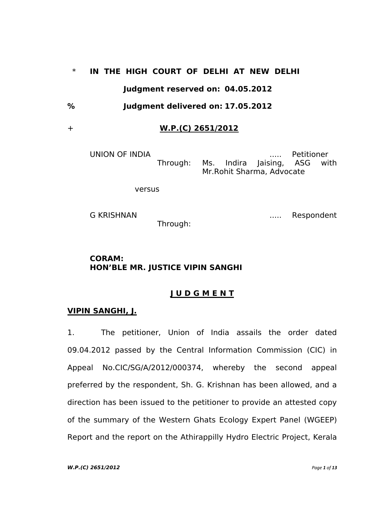# \* **IN THE HIGH COURT OF DELHI AT NEW DELHI Judgment reserved on: 04.05.2012**

**% Judgment delivered on: 17.05.2012**

# + **W.P.(C) 2651/2012**

UNION OF INDIA ..... Petitioner Through: Ms. Indira Jaising, ASG with Mr.Rohit Sharma, Advocate

versus

G KRISHNAN ..... Respondent

Through:

# **CORAM: HON'BLE MR. JUSTICE VIPIN SANGHI**

# **J U D G M E N T**

# **VIPIN SANGHI, J.**

1. The petitioner, Union of India assails the order dated 09.04.2012 passed by the Central Information Commission (CIC) in Appeal No.CIC/SG/A/2012/000374, whereby the second appeal preferred by the respondent, Sh. G. Krishnan has been allowed, and a direction has been issued to the petitioner to provide an attested copy of the summary of the Western Ghats Ecology Expert Panel (WGEEP) Report and the report on the Athirappilly Hydro Electric Project, Kerala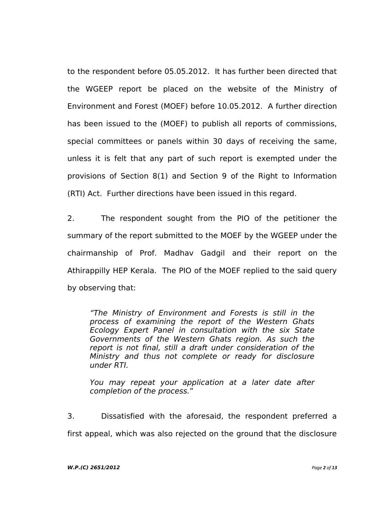to the respondent before 05.05.2012. It has further been directed that the WGEEP report be placed on the website of the Ministry of Environment and Forest (MOEF) before 10.05.2012. A further direction has been issued to the (MOEF) to publish all reports of commissions, special committees or panels within 30 days of receiving the same, unless it is felt that any part of such report is exempted under the provisions of Section 8(1) and Section 9 of the Right to Information (RTI) Act. Further directions have been issued in this regard.

2. The respondent sought from the PIO of the petitioner the summary of the report submitted to the MOEF by the WGEEP under the chairmanship of Prof. Madhav Gadgil and their report on the Athirappilly HEP Kerala. The PIO of the MOEF replied to the said query by observing that:

*"The Ministry of Environment and Forests is still in the process of examining the report of the Western Ghats Ecology Expert Panel in consultation with the six State Governments of the Western Ghats region. As such the report is not final, still a draft under consideration of the Ministry and thus not complete or ready for disclosure under RTI.* 

*You may repeat your application at a later date after completion of the process.*"

3. Dissatisfied with the aforesaid, the respondent preferred a first appeal, which was also rejected on the ground that the disclosure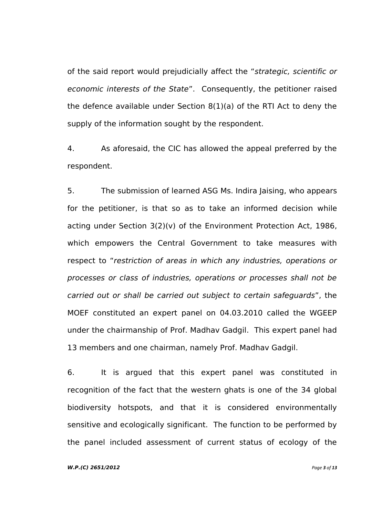of the said report would prejudicially affect the "*strategic, scientific or economic interests of the State*". Consequently, the petitioner raised the defence available under Section 8(1)(a) of the RTI Act to deny the supply of the information sought by the respondent.

4. As aforesaid, the CIC has allowed the appeal preferred by the respondent.

5. The submission of learned ASG Ms. Indira Jaising, who appears for the petitioner, is that so as to take an informed decision while acting under Section 3(2)(v) of the Environment Protection Act, 1986, which empowers the Central Government to take measures with respect to "*restriction of areas in which any industries, operations or processes or class of industries, operations or processes shall not be carried out or shall be carried out subject to certain safeguards*", the MOEF constituted an expert panel on 04.03.2010 called the WGEEP under the chairmanship of Prof. Madhav Gadgil. This expert panel had 13 members and one chairman, namely Prof. Madhav Gadgil.

6. It is argued that this expert panel was constituted in recognition of the fact that the western ghats is one of the 34 global biodiversity hotspots, and that it is considered environmentally sensitive and ecologically significant. The function to be performed by the panel included assessment of current status of ecology of the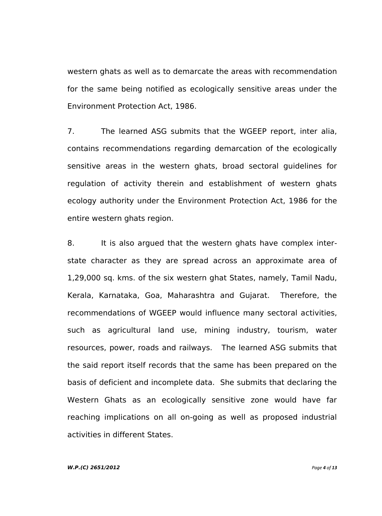western ghats as well as to demarcate the areas with recommendation for the same being notified as ecologically sensitive areas under the Environment Protection Act, 1986.

7. The learned ASG submits that the WGEEP report, inter alia, contains recommendations regarding demarcation of the ecologically sensitive areas in the western ghats, broad sectoral guidelines for regulation of activity therein and establishment of western ghats ecology authority under the Environment Protection Act, 1986 for the entire western ghats region.

8. It is also argued that the western ghats have complex interstate character as they are spread across an approximate area of 1,29,000 sq. kms. of the six western ghat States, namely, Tamil Nadu, Kerala, Karnataka, Goa, Maharashtra and Gujarat. Therefore, the recommendations of WGEEP would influence many sectoral activities, such as agricultural land use, mining industry, tourism, water resources, power, roads and railways. The learned ASG submits that the said report itself records that the same has been prepared on the basis of deficient and incomplete data. She submits that declaring the Western Ghats as an ecologically sensitive zone would have far reaching implications on all on-going as well as proposed industrial activities in different States.

## *W.P.(C) 2651/2012 Page 4 of 13*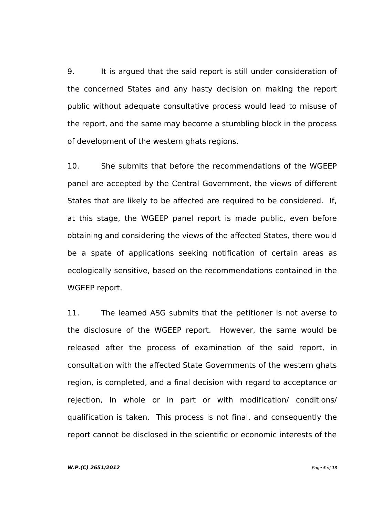9. It is argued that the said report is still under consideration of the concerned States and any hasty decision on making the report public without adequate consultative process would lead to misuse of the report, and the same may become a stumbling block in the process of development of the western ghats regions.

10. She submits that before the recommendations of the WGEEP panel are accepted by the Central Government, the views of different States that are likely to be affected are required to be considered. If, at this stage, the WGEEP panel report is made public, even before obtaining and considering the views of the affected States, there would be a spate of applications seeking notification of certain areas as ecologically sensitive, based on the recommendations contained in the WGEEP report.

11. The learned ASG submits that the petitioner is not averse to the disclosure of the WGEEP report. However, the same would be released after the process of examination of the said report, in consultation with the affected State Governments of the western ghats region, is completed, and a final decision with regard to acceptance or rejection, in whole or in part or with modification/ conditions/ qualification is taken. This process is not final, and consequently the report cannot be disclosed in the scientific or economic interests of the

## *W.P.(C) 2651/2012 Page 5 of 13*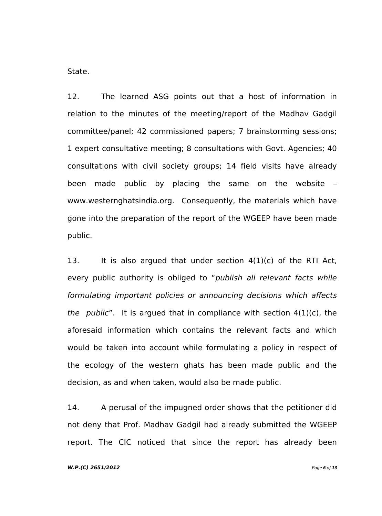State.

12. The learned ASG points out that a host of information in relation to the minutes of the meeting/report of the Madhav Gadgil committee/panel; 42 commissioned papers; 7 brainstorming sessions; 1 expert consultative meeting; 8 consultations with Govt. Agencies; 40 consultations with civil society groups; 14 field visits have already been made public by placing the same on the website – [www.westernghatsindia.org.](http://www.westernghatsindia.org/) Consequently, the materials which have gone into the preparation of the report of the WGEEP have been made public.

13. It is also argued that under section  $4(1)(c)$  of the RTI Act, every public authority is obliged to "*publish all relevant facts while formulating important policies or announcing decisions which affects the public*". It is argued that in compliance with section 4(1)(c), the aforesaid information which contains the relevant facts and which would be taken into account while formulating a policy in respect of the ecology of the western ghats has been made public and the decision, as and when taken, would also be made public.

14. A perusal of the impugned order shows that the petitioner did not deny that Prof. Madhav Gadgil had already submitted the WGEEP report. The CIC noticed that since the report has already been

## *W.P.(C) 2651/2012 Page 6 of 13*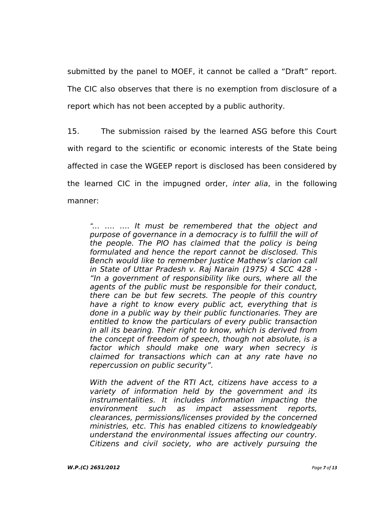submitted by the panel to MOEF, it cannot be called a "Draft" report. The CIC also observes that there is no exemption from disclosure of a report which has not been accepted by a public authority.

15. The submission raised by the learned ASG before this Court with regard to the scientific or economic interests of the State being affected in case the WGEEP report is disclosed has been considered by the learned CIC in the impugned order, *inter alia*, in the following manner:

*"… …. …. It must be remembered that the object and purpose of governance in a democracy is to fulfill the will of the people. The PIO has claimed that the policy is being formulated and hence the report cannot be disclosed. This Bench would like to remember Justice Mathew"s clarion call in State of Uttar Pradesh v. Raj Narain (1975) 4 SCC 428 - "In a government of responsibility like ours, where all the agents of the public must be responsible for their conduct, there can be but few secrets. The people of this country have a right to know every public act, everything that is done in a public way by their public functionaries. They are entitled to know the particulars of every public transaction in all its bearing. Their right to know, which is derived from the concept of freedom of speech, though not absolute, is a factor which should make one wary when secrecy is claimed for transactions which can at any rate have no repercussion on public security".*

*With the advent of the RTI Act, citizens have access to a variety of information held by the government and its instrumentalities. It includes information impacting the environment such as impact assessment reports, clearances, permissions/licenses provided by the concerned ministries, etc. This has enabled citizens to knowledgeably understand the environmental issues affecting our country. Citizens and civil society, who are actively pursuing the*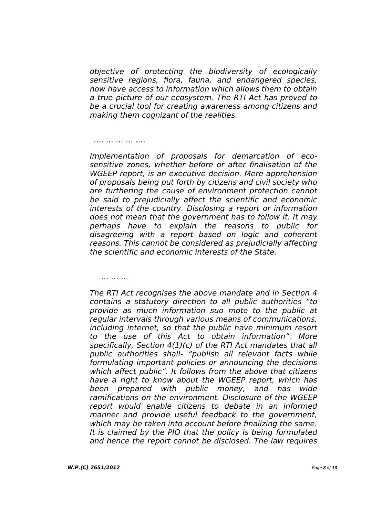*objective of protecting the biodiversity of ecologically sensitive regions, flora, fauna, and endangered species, now have access to information which allows them to obtain a true picture of our ecosystem. The RTI Act has proved to be a crucial tool for creating awareness among citizens and making them cognizant of the realities.*

#### …. … … … ….

*Implementation of proposals for demarcation of ecosensitive zones, whether before or after finalisation of the WGEEP report, is an executive decision. Mere apprehension of proposals being put forth by citizens and civil society who are furthering the cause of environment protection cannot be said to prejudicially affect the scientific and economic interests of the country. Disclosing a report or information does not mean that the government has to follow it. It may perhaps have to explain the reasons to public for disagreeing with a report based on logic and coherent reasons. This cannot be considered as prejudicially affecting the scientific and economic interests of the State.*

### … … …

*The RTI Act recognises the above mandate and in Section 4 contains a statutory direction to all public authorities "to provide as much information suo moto to the public at regular intervals through various means of communications, including internet, so that the public have minimum resort to the use of this Act to obtain information". More specifically, Section 4(1)(c) of the RTI Act mandates that all public authorities shall- "publish all relevant facts while formulating important policies or announcing the decisions which affect public". It follows from the above that citizens have a right to know about the WGEEP report, which has been prepared with public money, and has wide ramifications on the environment. Disclosure of the WGEEP report would enable citizens to debate in an informed manner and provide useful feedback to the government, which may be taken into account before finalizing the same. It is claimed by the PIO that the policy is being formulated and hence the report cannot be disclosed. The law requires*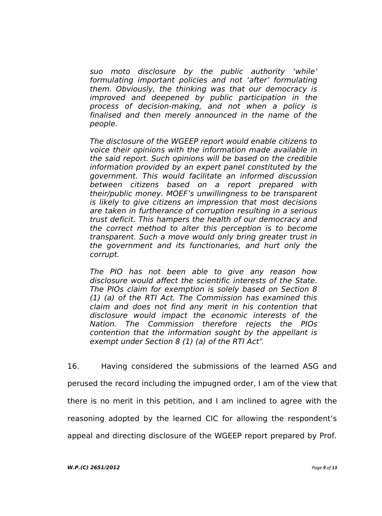*suo moto disclosure by the public authority "while" formulating important policies and not "after" formulating them. Obviously, the thinking was that our democracy is improved and deepened by public participation in the process of decision-making, and not when a policy is finalised and then merely announced in the name of the people.*

*The disclosure of the WGEEP report would enable citizens to voice their opinions with the information made available in the said report. Such opinions will be based on the credible information provided by an expert panel constituted by the government. This would facilitate an informed discussion between citizens based on a report prepared with their/public money. MOEF"s unwillingness to be transparent is likely to give citizens an impression that most decisions are taken in furtherance of corruption resulting in a serious trust deficit. This hampers the health of our democracy and the correct method to alter this perception is to become transparent. Such a move would only bring greater trust in the government and its functionaries, and hurt only the corrupt.*

*The PIO has not been able to give any reason how disclosure would affect the scientific interests of the State. The PIOs claim for exemption is solely based on Section 8 (1) (a) of the RTI Act. The Commission has examined this claim and does not find any merit in his contention that disclosure would impact the economic interests of the Nation. The Commission therefore rejects the PIOs contention that the information sought by the appellant is exempt under Section 8 (1) (a) of the RTI Act".*

16. Having considered the submissions of the learned ASG and perused the record including the impugned order, I am of the view that there is no merit in this petition, and I am inclined to agree with the reasoning adopted by the learned CIC for allowing the respondent's appeal and directing disclosure of the WGEEP report prepared by Prof.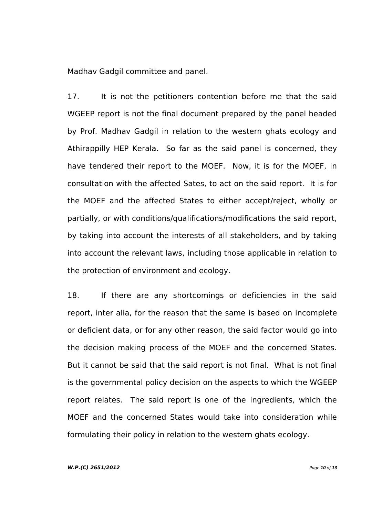Madhav Gadgil committee and panel.

17. It is not the petitioners contention before me that the said WGEEP report is not the final document prepared by the panel headed by Prof. Madhav Gadgil in relation to the western ghats ecology and Athirappilly HEP Kerala. So far as the said panel is concerned, they have tendered their report to the MOEF. Now, it is for the MOEF, in consultation with the affected Sates, to act on the said report. It is for the MOEF and the affected States to either accept/reject, wholly or partially, or with conditions/qualifications/modifications the said report, by taking into account the interests of all stakeholders, and by taking into account the relevant laws, including those applicable in relation to the protection of environment and ecology.

18. If there are any shortcomings or deficiencies in the said report, inter alia, for the reason that the same is based on incomplete or deficient data, or for any other reason, the said factor would go into the decision making process of the MOEF and the concerned States. But it cannot be said that the said report is not final. What is not final is the governmental policy decision on the aspects to which the WGEEP report relates. The said report is one of the ingredients, which the MOEF and the concerned States would take into consideration while formulating their policy in relation to the western ghats ecology.

#### *W.P.(C) 2651/2012 Page 10 of 13*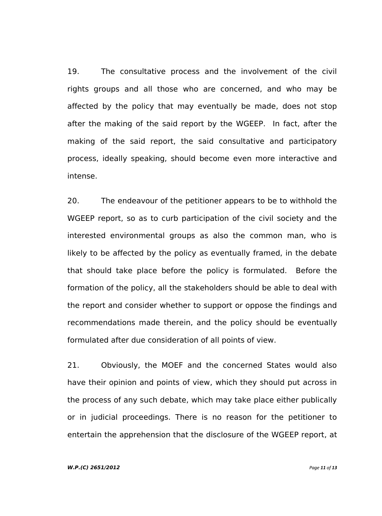19. The consultative process and the involvement of the civil rights groups and all those who are concerned, and who may be affected by the policy that may eventually be made, does not stop after the making of the said report by the WGEEP. In fact, after the making of the said report, the said consultative and participatory process, ideally speaking, should become even more interactive and intense.

20. The endeavour of the petitioner appears to be to withhold the WGEEP report, so as to curb participation of the civil society and the interested environmental groups as also the common man, who is likely to be affected by the policy as eventually framed, in the debate that should take place before the policy is formulated. Before the formation of the policy, all the stakeholders should be able to deal with the report and consider whether to support or oppose the findings and recommendations made therein, and the policy should be eventually formulated after due consideration of all points of view.

21. Obviously, the MOEF and the concerned States would also have their opinion and points of view, which they should put across in the process of any such debate, which may take place either publically or in judicial proceedings. There is no reason for the petitioner to entertain the apprehension that the disclosure of the WGEEP report, at

#### *W.P.(C) 2651/2012 Page 11 of 13*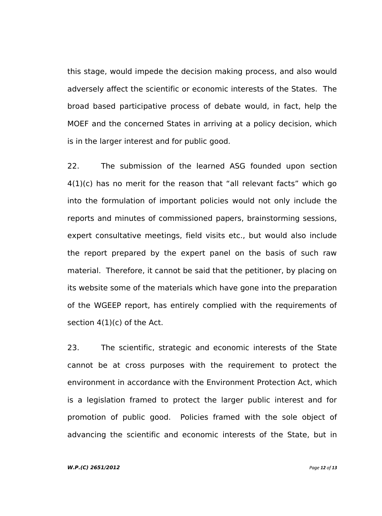this stage, would impede the decision making process, and also would adversely affect the scientific or economic interests of the States. The broad based participative process of debate would, in fact, help the MOEF and the concerned States in arriving at a policy decision, which is in the larger interest and for public good.

22. The submission of the learned ASG founded upon section  $4(1)(c)$  has no merit for the reason that "all relevant facts" which go into the formulation of important policies would not only include the reports and minutes of commissioned papers, brainstorming sessions, expert consultative meetings, field visits etc., but would also include the report prepared by the expert panel on the basis of such raw material. Therefore, it cannot be said that the petitioner, by placing on its website some of the materials which have gone into the preparation of the WGEEP report, has entirely complied with the requirements of section 4(1)(c) of the Act.

23. The scientific, strategic and economic interests of the State cannot be at cross purposes with the requirement to protect the environment in accordance with the Environment Protection Act, which is a legislation framed to protect the larger public interest and for promotion of public good. Policies framed with the sole object of advancing the scientific and economic interests of the State, but in

## *W.P.(C) 2651/2012 Page 12 of 13*